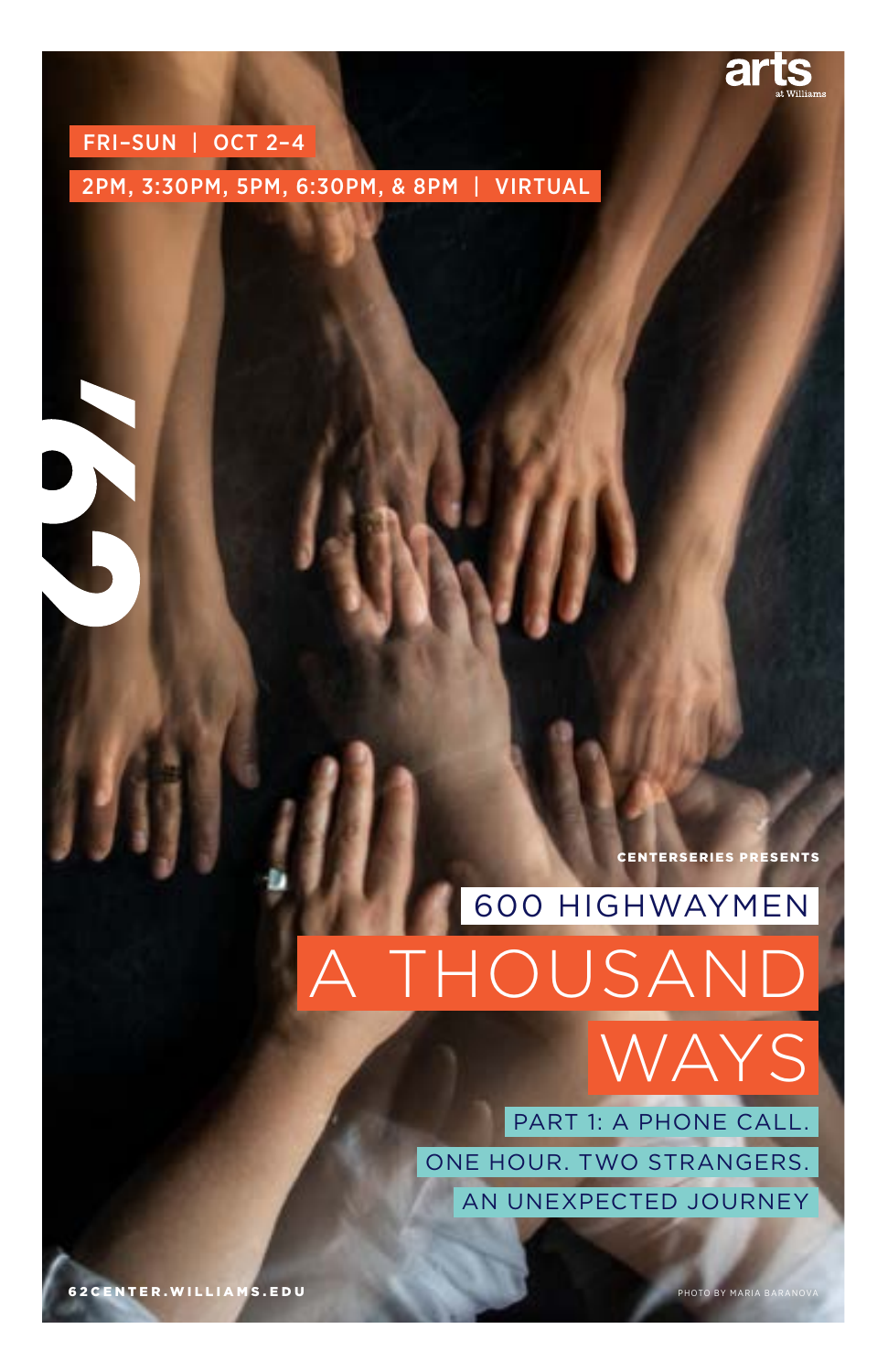

## FRI–SUN | OCT 2–4

S

2PM, 3:30PM, 5PM, 6:30PM, & 8PM | VIRTUAL

CENTERSERIES PRESENTS

# 600 HIGHWAYMEN HOUSAI WAYS

PART 1: A PHONE CALL. ONE HOUR. TWO STRANGERS. AN UNEXPECTED JOURNEY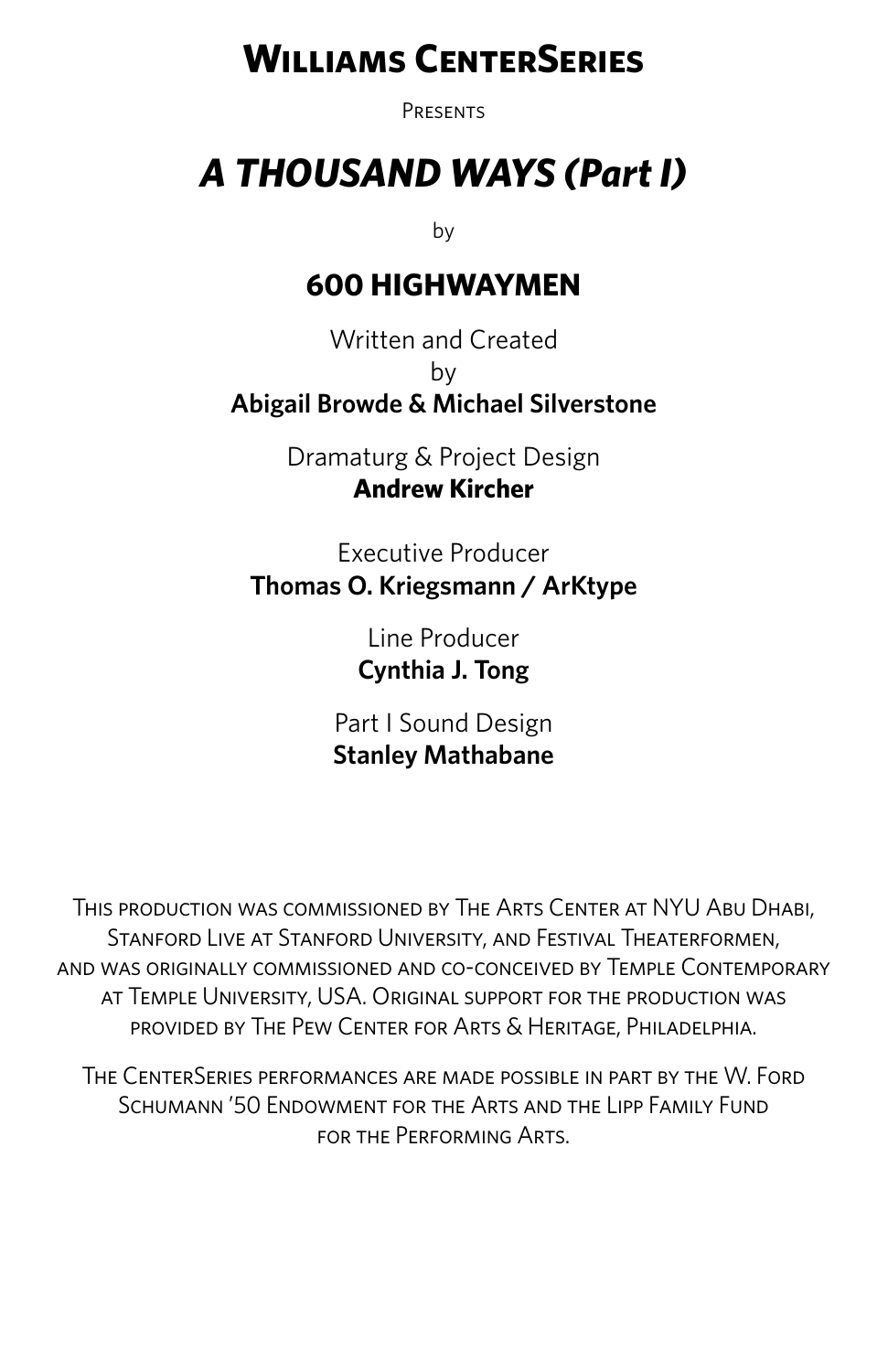## **Williams CenterSeries**

**PRESENTS** 

## *A THOUSAND WAYS (Part I)*

by

## **600 HIGHWAYMEN**

Written and Created by **Abigail Browde & Michael Silverstone**

> Dramaturg & Project Design **Andrew Kircher**

Executive Producer **Thomas O. Kriegsmann / ArKtype**

> Line Producer **Cynthia J. Tong**

Part I Sound Design **Stanley Mathabane**

This production was commissioned by The Arts Center at NYU Abu Dhabi, Stanford Live at Stanford University, and Festival Theaterformen, and was originally commissioned and co-conceived by Temple Contemporary at Temple University, USA. Original support for the production was provided by The Pew Center for Arts & Heritage, Philadelphia.

The CenterSeries performances are made possible in part by the W. Ford Schumann '50 Endowment for the Arts and the Lipp Family Fund for the Performing Arts.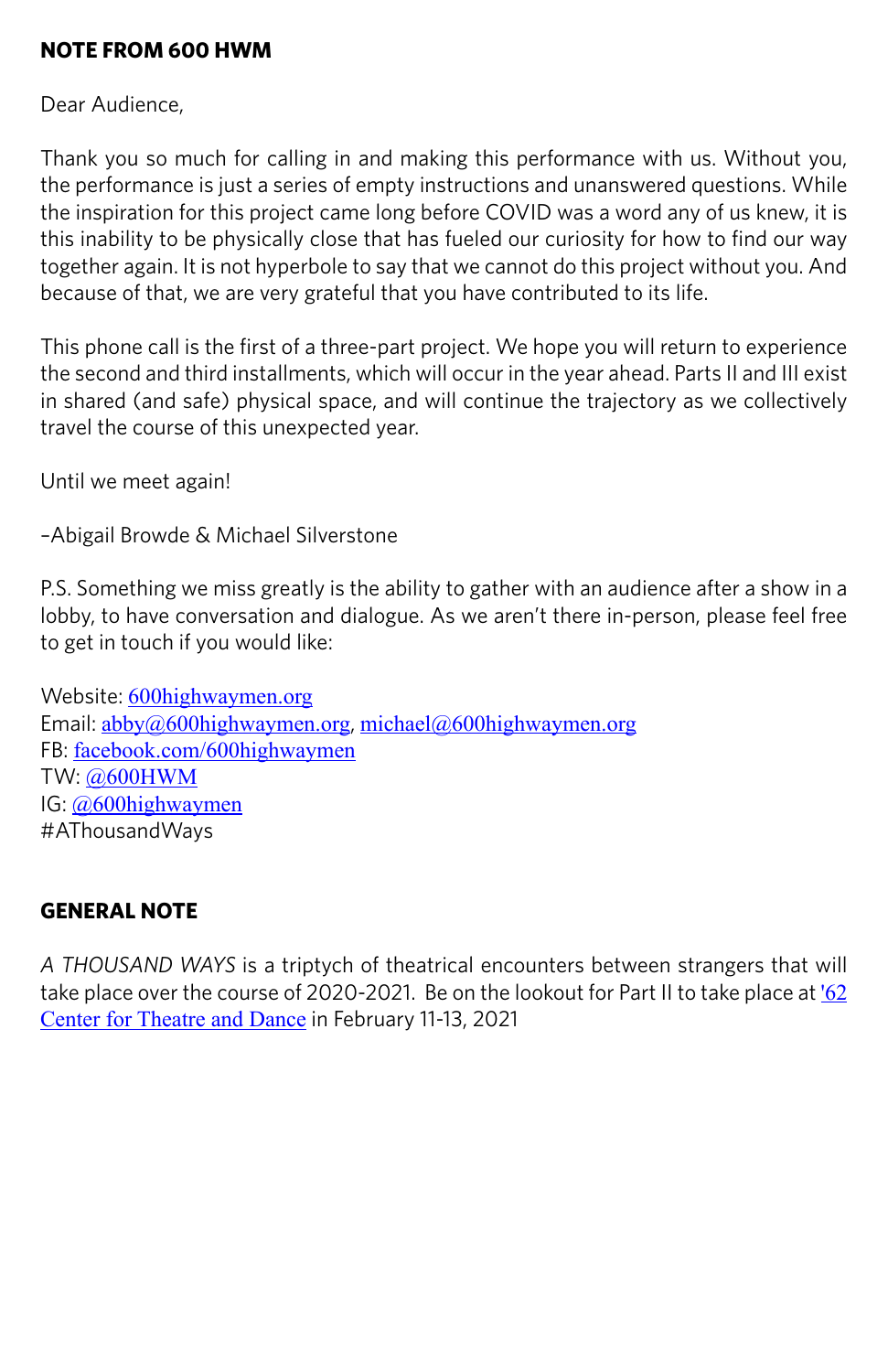## **NOTE FROM 600 HWM**

Dear Audience,

Thank you so much for calling in and making this performance with us. Without you, the performance is just a series of empty instructions and unanswered questions. While the inspiration for this project came long before COVID was a word any of us knew, it is this inability to be physically close that has fueled our curiosity for how to find our way together again. It is not hyperbole to say that we cannot do this project without you. And because of that, we are very grateful that you have contributed to its life.

This phone call is the first of a three-part project. We hope you will return to experience the second and third installments, which will occur in the year ahead. Parts II and III exist in shared (and safe) physical space, and will continue the trajectory as we collectively travel the course of this unexpected year.

Until we meet again!

–Abigail Browde & Michael Silverstone

P.S. Something we miss greatly is the ability to gather with an audience after a show in a lobby, to have conversation and dialogue. As we aren't there in-person, please feel free to get in touch if you would like:

Website: [600highwaymen.org](http://www.600highwaymen.org) Email: [abby@600highwaymen.org](mailto:abby@600highwaymen.org), [michael@600highwaymen.org](mailto:michael@600highwaymen.org) FB: [facebook.com/600highwaymen](https://www.facebook.com/600HIGHWAYMEN/) TW: [@600HWM](https://twitter.com/600HWM) IG: [@600highwaymen](https://www.instagram.com/600highwaymen/?hl=en) #AThousandWays

## **GENERAL NOTE**

*A THOUSAND WAYS* is a triptych of theatrical encounters between strangers that will take place over the course of 2020-2021. Be on the lookout for Part II to take place at  $62$ [Center for Theatre and Dance](https://62center.williams.edu/season/) in February 11-13, 2021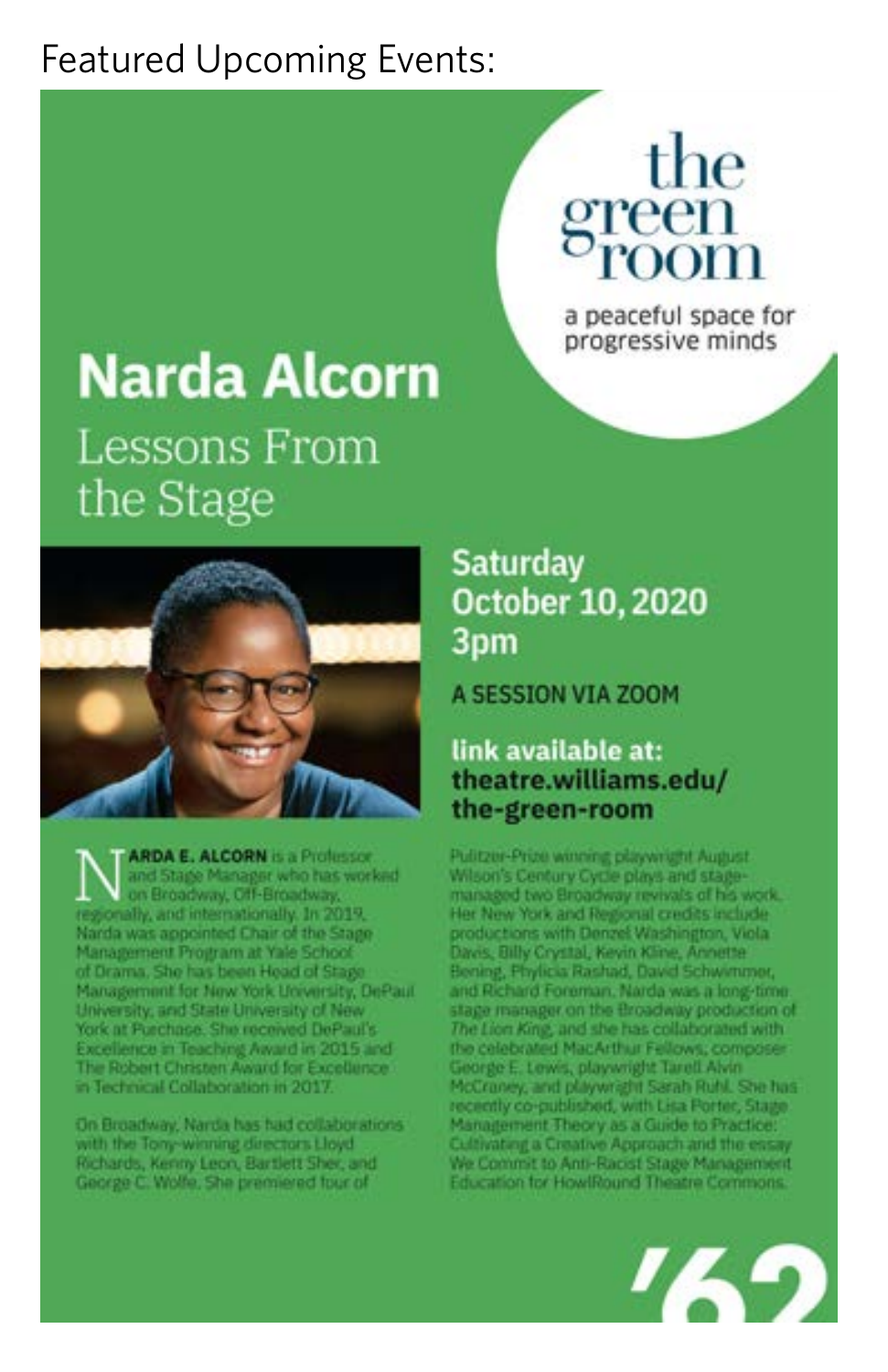## **Featured Upcoming Events:**

# the

a peaceful space for progressive minds

## Narda Alcorn Lessons From the Stage



**ARDA E. ALCORN is a Professor** and Stage Manager who has worked on Broadway, Off-Broadway, regionally, and internationally. In 2019, Narda was appointed Chair of the Stage Management Program at Yale School of Drama, She has been Head of Stage Management for New York University, DePaul University, and State University of New York at Purchase. She received DePaul's Excellence in Teaching Award in 2015 and The Robert Christen Award for Excellence in Technical Collaboration in 2017

On Broadway, Narda has had collaborations with the Tony-winning directors Lloyd Richards, Kenny Leon, Bartlett Sher, and George C. Wolfe, She premiered four of

## **Saturday October 10, 2020** 3pm

A SESSION VIA ZOOM

## link available at: theatre.williams.edu/ the-green-room

Pulitzer-Prize werning playwright August. Wilson's Century Cycle plays and stagemanaged two Broadway revivals of his work. Her New York and Regional credits include productions with Denzel Washington, Viola Davis, Billy Crystal, Kevin Kline, Annette Bening, Phylicia Rashad, David Schwimmer, and Richard Foreman. Narda was a long-time. stage manager on the Broadway production of The Lion King, and she has collaborated with the celebrated MacArthur Fellows, composer George E. Lewis, playwright Tarell Alvin McCraney, and playwright Sarah Ruhl. She has recently co-published, with Lisa Porter, Stage Management Theory as a Guide to Practice: Cultivating a Creative Approach and the essay We Commit to Anti-Racist Stage Management Education for HowlRound Theatre Commons.

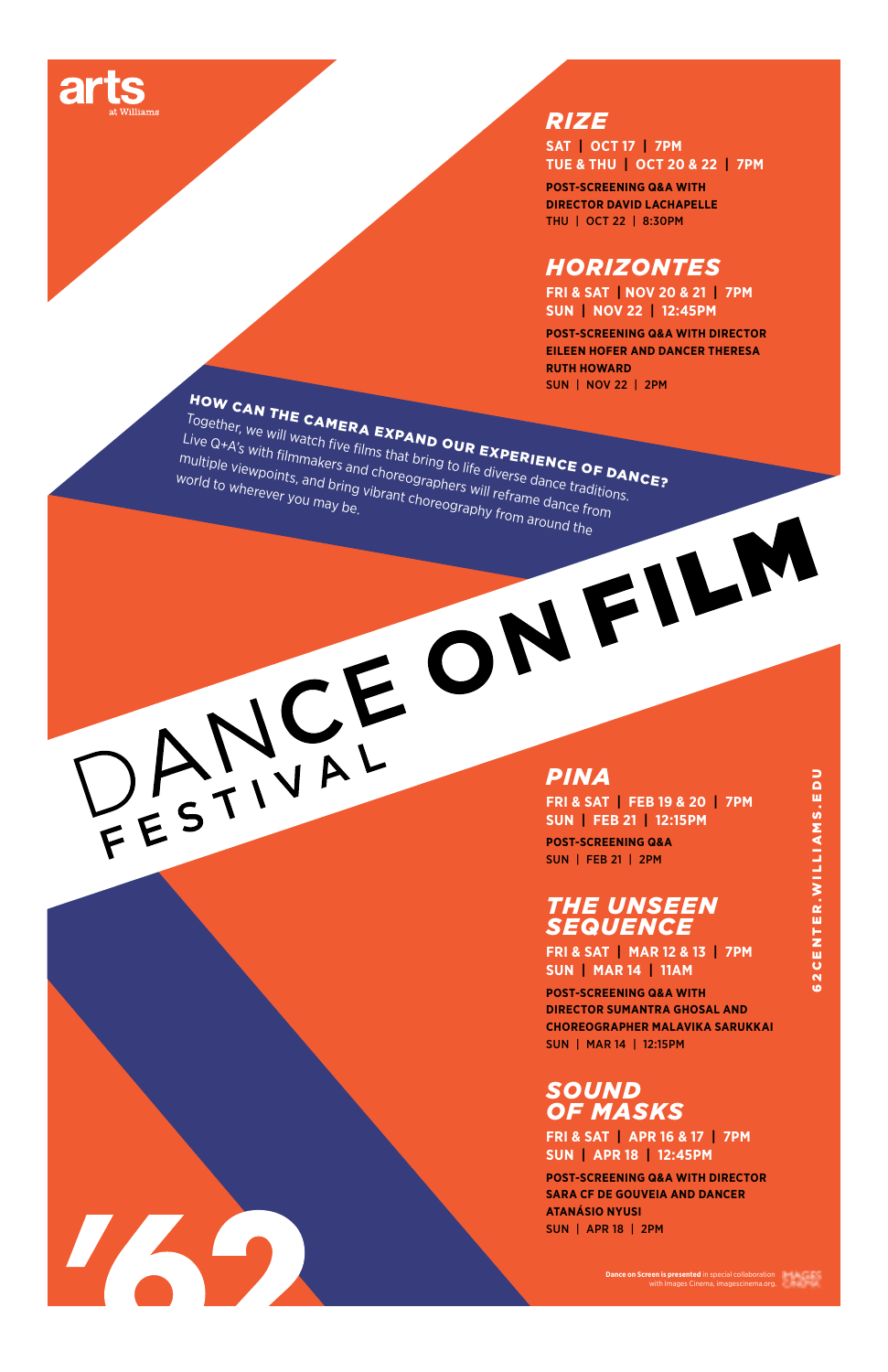

#### *RIZE*

**SAT | OCT 17 | 7PM TUE & THU | OCT 20 & 22 | 7PM**

**POST-SCREENING Q&A WITH DIRECTOR DAVID LACHAPELLE**  THU | OCT 22 | 8:30PM

#### *HORIZONTES*

**FRI & SAT | NOV 20 & 21 | 7PM SUN | NOV 22 | 12:45PM**

**POST-SCREENING Q&A WITH DIRECTOR EILEEN HOFER AND DANCER THERESA RUTH HOWARD** 

IZG

SUN | NOV 22 | 2PM<br>Together, we will watch five films that **Drive EXPERIENCE OF DANCE?**<br>ive Q+A's with filmmakers and choreographers, with the diverse dance to **PANCE?**<br>Uniple viewpoints, and prins, and choreographers, wit Together, we will watch five films that bring to life diverse dance traditions. Live Q+A's with filmmakers and choreographers will reframe dance from multiple viewpoints, and bring to life diverse **ERIENCE O**<br>World to wherever you may be, wibrant choreography from around the<br>Morld to wherever you may be, wibrant choreography from around the world to wherever you may be.<br>everyou may be.

**5**

*PINA*

**FRI & SAT | FEB 19 & 20 | 7PM SUN | FEB 21 | 12:15PM POST-SCREENING Q&A**  SUN | FEB 21 | 2PM

#### *THE UNSEEN SEQUENCE*

**FRI & SAT | MAR 12 & 13 | 7PM SUN | MAR 14 | 11AM** 

**POST-SCREENING Q&A WITH DIRECTOR SUMANTRA GHOSAL AND CHOREOGRAPHER MALAVIKA SARUKKAI**  SUN | MAR 14 | 12:15PM

#### *SOUND OF MASKS*

**FRI & SAT | APR 16 & 17 | 7PM SUN | APR 18 | 12:45PM**

**POST-SCREENING Q&A WITH DIRECTOR SARA CF DE GOUVEIA AND DANCER ATANÁSIO NYUSI** SUN | APR 18 | 2PM

**Dance on Screen is presented** in special collaboration with Images Cinema, imagescinema.org.